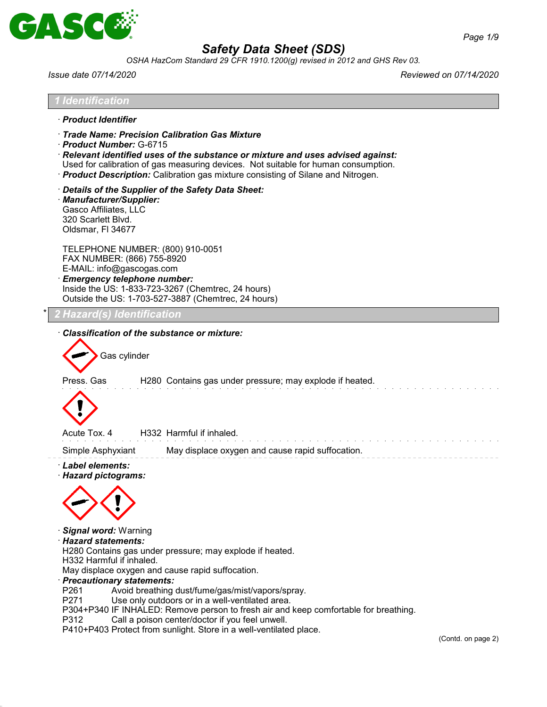

· *Relevant identified uses of the substance or mixture and uses advised against:* Used for calibration of gas measuring devices. Not suitable for human consumption. · *Product Description:* Calibration gas mixture consisting of Silane and Nitrogen.

*OSHA HazCom Standard 29 CFR 1910.1200(g) revised in 2012 and GHS Rev 03.*

*1 Identification*

· *Product Identifier*

· *Product Number:* G-6715

· *Trade Name: Precision Calibration Gas Mixture*

*Issue date 07/14/2020 Reviewed on 07/14/2020*

| Details of the Supplier of the Safety Data Sheet:<br>· Manufacturer/Supplier:<br>Gasco Affiliates, LLC<br>320 Scarlett Blvd.<br>Oldsmar, FI 34677                                                                                                                                                                                                                                                                                                                                                                                                                         |                   |
|---------------------------------------------------------------------------------------------------------------------------------------------------------------------------------------------------------------------------------------------------------------------------------------------------------------------------------------------------------------------------------------------------------------------------------------------------------------------------------------------------------------------------------------------------------------------------|-------------------|
| TELEPHONE NUMBER: (800) 910-0051<br>FAX NUMBER: (866) 755-8920<br>E-MAIL: info@gascogas.com<br>· Emergency telephone number:<br>Inside the US: 1-833-723-3267 (Chemtrec, 24 hours)<br>Outside the US: 1-703-527-3887 (Chemtrec, 24 hours)                                                                                                                                                                                                                                                                                                                                 |                   |
| Hazard(s) Identification                                                                                                                                                                                                                                                                                                                                                                                                                                                                                                                                                  |                   |
| <b>Classification of the substance or mixture:</b>                                                                                                                                                                                                                                                                                                                                                                                                                                                                                                                        |                   |
| Gas cylinder                                                                                                                                                                                                                                                                                                                                                                                                                                                                                                                                                              |                   |
| Press. Gas<br>H280 Contains gas under pressure; may explode if heated.                                                                                                                                                                                                                                                                                                                                                                                                                                                                                                    |                   |
|                                                                                                                                                                                                                                                                                                                                                                                                                                                                                                                                                                           |                   |
| Acute Tox. 4<br>H332 Harmful if inhaled.                                                                                                                                                                                                                                                                                                                                                                                                                                                                                                                                  |                   |
| Simple Asphyxiant<br>May displace oxygen and cause rapid suffocation.<br>· Label elements:                                                                                                                                                                                                                                                                                                                                                                                                                                                                                |                   |
| · Hazard pictograms:                                                                                                                                                                                                                                                                                                                                                                                                                                                                                                                                                      |                   |
|                                                                                                                                                                                                                                                                                                                                                                                                                                                                                                                                                                           |                   |
| · Signal word: Warning<br>· Hazard statements:<br>H280 Contains gas under pressure; may explode if heated.<br>H332 Harmful if inhaled.<br>May displace oxygen and cause rapid suffocation.<br>· Precautionary statements:<br>P261<br>Avoid breathing dust/fume/gas/mist/vapors/spray.<br>P271<br>Use only outdoors or in a well-ventilated area.<br>P304+P340 IF INHALED: Remove person to fresh air and keep comfortable for breathing.<br>P312<br>Call a poison center/doctor if you feel unwell.<br>P410+P403 Protect from sunlight. Store in a well-ventilated place. | (C <sub>c</sub> ) |
|                                                                                                                                                                                                                                                                                                                                                                                                                                                                                                                                                                           |                   |
|                                                                                                                                                                                                                                                                                                                                                                                                                                                                                                                                                                           |                   |
|                                                                                                                                                                                                                                                                                                                                                                                                                                                                                                                                                                           |                   |
|                                                                                                                                                                                                                                                                                                                                                                                                                                                                                                                                                                           |                   |
|                                                                                                                                                                                                                                                                                                                                                                                                                                                                                                                                                                           |                   |
|                                                                                                                                                                                                                                                                                                                                                                                                                                                                                                                                                                           |                   |
|                                                                                                                                                                                                                                                                                                                                                                                                                                                                                                                                                                           |                   |
|                                                                                                                                                                                                                                                                                                                                                                                                                                                                                                                                                                           |                   |
|                                                                                                                                                                                                                                                                                                                                                                                                                                                                                                                                                                           |                   |

ontd. on page 2)

and a straight a

والوالو الوالو والوالو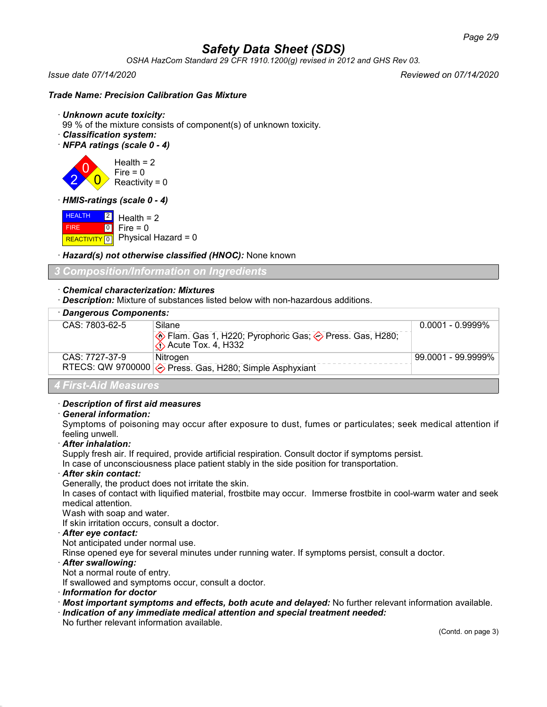*OSHA HazCom Standard 29 CFR 1910.1200(g) revised in 2012 and GHS Rev 03.*

2

*Issue date 07/14/2020 Reviewed on 07/14/2020*

#### *Trade Name: Precision Calibration Gas Mixture*

#### · *Unknown acute toxicity:*

99 % of the mixture consists of component(s) of unknown toxicity.

- · *Classification system:*
- · *NFPA ratings (scale 0 4)*

 $\overline{0}$  $\overline{0}$ Health  $= 2$  $Fire = 0$ Reactivity =  $0$ 

· *HMIS-ratings (scale 0 - 4)*

**HEALTH**  FIRE REACTIVITY  $\boxed{0}$  Physical Hazard = 0  $|2|$  $\overline{10}$ Health  $= 2$ Fire  $= 0$ 

· *Hazard(s) not otherwise classified (HNOC):* None known

*3 Composition/Information on Ingredients*

#### · *Chemical characterization: Mixtures*

· *Description:* Mixture of substances listed below with non-hazardous additions.

| · Dangerous Components: |                                                                                               |                     |  |  |  |
|-------------------------|-----------------------------------------------------------------------------------------------|---------------------|--|--|--|
| CAS: 7803-62-5          | Silane                                                                                        | $0.0001 - 0.9999\%$ |  |  |  |
|                         | ♦ Flam. Gas 1, H220; Pyrophoric Gas; ♦ Press. Gas, H280;<br>$\diamondsuit$ Acute Tox. 4, H332 |                     |  |  |  |
| CAS: 7727-37-9          | Nitrogen                                                                                      | 99.0001 - 99.9999%  |  |  |  |
|                         | RTECS: QW 9700000 $\diamond$ Press. Gas, H280; Simple Asphyxiant                              |                     |  |  |  |
| A Eirot Aid Monouron    |                                                                                               |                     |  |  |  |

#### *4 First-Aid Measures*

#### · *Description of first aid measures*

#### · *General information:*

Symptoms of poisoning may occur after exposure to dust, fumes or particulates; seek medical attention if feeling unwell.

· *After inhalation:*

Supply fresh air. If required, provide artificial respiration. Consult doctor if symptoms persist.

In case of unconsciousness place patient stably in the side position for transportation.

#### · *After skin contact:*

Generally, the product does not irritate the skin.

In cases of contact with liquified material, frostbite may occur. Immerse frostbite in cool-warm water and seek medical attention.

Wash with soap and water.

If skin irritation occurs, consult a doctor.

#### · *After eye contact:*

Not anticipated under normal use.

Rinse opened eye for several minutes under running water. If symptoms persist, consult a doctor.

#### · *After swallowing:*

Not a normal route of entry.

If swallowed and symptoms occur, consult a doctor.

- · *Information for doctor*
- · *Most important symptoms and effects, both acute and delayed:* No further relevant information available.
- · *Indication of any immediate medical attention and special treatment needed:*

No further relevant information available.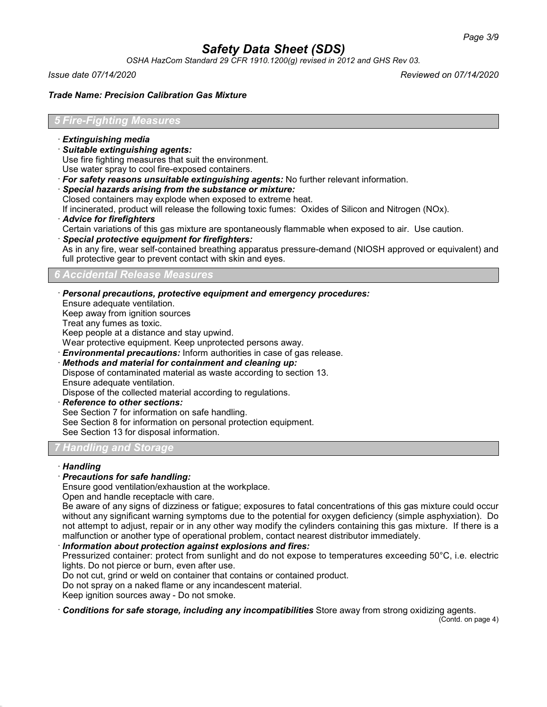*OSHA HazCom Standard 29 CFR 1910.1200(g) revised in 2012 and GHS Rev 03.*

*Issue date 07/14/2020 Reviewed on 07/14/2020*

#### *Trade Name: Precision Calibration Gas Mixture*

#### *5 Fire-Fighting Measures*

- · *Extinguishing media*
- · *Suitable extinguishing agents:*

Use fire fighting measures that suit the environment.

Use water spray to cool fire-exposed containers.

- · *For safety reasons unsuitable extinguishing agents:* No further relevant information.
- · *Special hazards arising from the substance or mixture:*
- Closed containers may explode when exposed to extreme heat.

If incinerated, product will release the following toxic fumes: Oxides of Silicon and Nitrogen (NOx).

· *Advice for firefighters*

Certain variations of this gas mixture are spontaneously flammable when exposed to air. Use caution.

· *Special protective equipment for firefighters:*

As in any fire, wear self-contained breathing apparatus pressure-demand (NIOSH approved or equivalent) and full protective gear to prevent contact with skin and eyes.

## *6 Accidental Release Measures*

· *Personal precautions, protective equipment and emergency procedures:*

Ensure adequate ventilation.

Keep away from ignition sources

Treat any fumes as toxic.

Keep people at a distance and stay upwind.

Wear protective equipment. Keep unprotected persons away.

· *Environmental precautions:* Inform authorities in case of gas release.

· *Methods and material for containment and cleaning up:*

Dispose of contaminated material as waste according to section 13.

Ensure adequate ventilation. Dispose of the collected material according to regulations.

- · *Reference to other sections:*
- See Section 7 for information on safe handling.

See Section 8 for information on personal protection equipment.

See Section 13 for disposal information.

## *<i>Handlin*

#### · *Handling*

#### · *Precautions for safe handling:*

Ensure good ventilation/exhaustion at the workplace.

Open and handle receptacle with care.

Be aware of any signs of dizziness or fatigue; exposures to fatal concentrations of this gas mixture could occur without any significant warning symptoms due to the potential for oxygen deficiency (simple asphyxiation). Do not attempt to adjust, repair or in any other way modify the cylinders containing this gas mixture. If there is a malfunction or another type of operational problem, contact nearest distributor immediately.

· *Information about protection against explosions and fires:*

Pressurized container: protect from sunlight and do not expose to temperatures exceeding 50°C, i.e. electric lights. Do not pierce or burn, even after use.

Do not cut, grind or weld on container that contains or contained product.

Do not spray on a naked flame or any incandescent material.

Keep ignition sources away - Do not smoke.

· *Conditions for safe storage, including any incompatibilities* Store away from strong oxidizing agents.

(Contd. on page 4)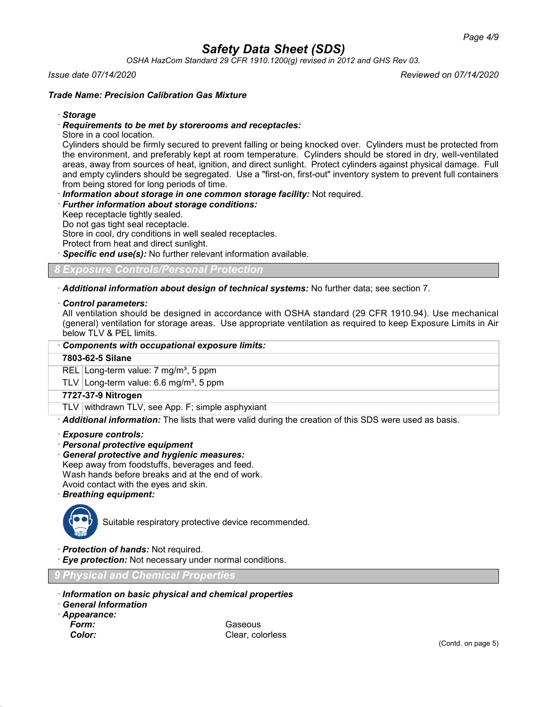*OSHA HazCom Standard 29 CFR 1910.1200(g) revised in 2012 and GHS Rev 03.*

#### *Issue date 07/14/2020 Reviewed on 07/14/2020*

#### *Trade Name: Precision Calibration Gas Mixture*

#### · *Storage*

#### · *Requirements to be met by storerooms and receptacles:*

Store in a cool location.

Cylinders should be firmly secured to prevent falling or being knocked over. Cylinders must be protected from the environment, and preferably kept at room temperature. Cylinders should be stored in dry, well-ventilated areas, away from sources of heat, ignition, and direct sunlight. Protect cylinders against physical damage. Full and empty cylinders should be segregated. Use a "first-on, first-out" inventory system to prevent full containers from being stored for long periods of time.

· *Information about storage in one common storage facility:* Not required.

#### · *Further information about storage conditions:*

Keep receptacle tightly sealed.

Do not gas tight seal receptacle.

Store in cool, dry conditions in well sealed receptacles.

Protect from heat and direct sunlight.

**Specific end use(s):** No further relevant information available.

*8 Exposure Controls/Personal Protection*

· *Additional information about design of technical systems:* No further data; see section 7.

#### · *Control parameters:*

All ventilation should be designed in accordance with OSHA standard (29 CFR 1910.94). Use mechanical (general) ventilation for storage areas. Use appropriate ventilation as required to keep Exposure Limits in Air below TLV & PEL limits.

| Components with occupational exposure limits:      |  |
|----------------------------------------------------|--|
| 7803-62-5 Silane                                   |  |
| REL Long-term value: $7 \text{ mg/m}^3$ , 5 ppm    |  |
| TLV Long-term value: 6.6 mg/m <sup>3</sup> , 5 ppm |  |
| 7727-37-9 Nitrogen                                 |  |
| TLV withdrawn TLV, see App. F; simple asphyxiant   |  |

· *Additional information:* The lists that were valid during the creation of this SDS were used as basis.

- · *Exposure controls:*
- · *Personal protective equipment*
- · *General protective and hygienic measures:*
- Keep away from foodstuffs, beverages and feed.

Wash hands before breaks and at the end of work.

Avoid contact with the eyes and skin.

· *Breathing equipment:*



Suitable respiratory protective device recommended.

· *Protection of hands:* Not required.

· *Eye protection:* Not necessary under normal conditions.

*9 Physical and Chemical Properties*

- · *Information on basic physical and chemical properties*
- · *General Information*
- · *Appearance:*
	-

**Form:** Gaseous **Color:** Clear, colorless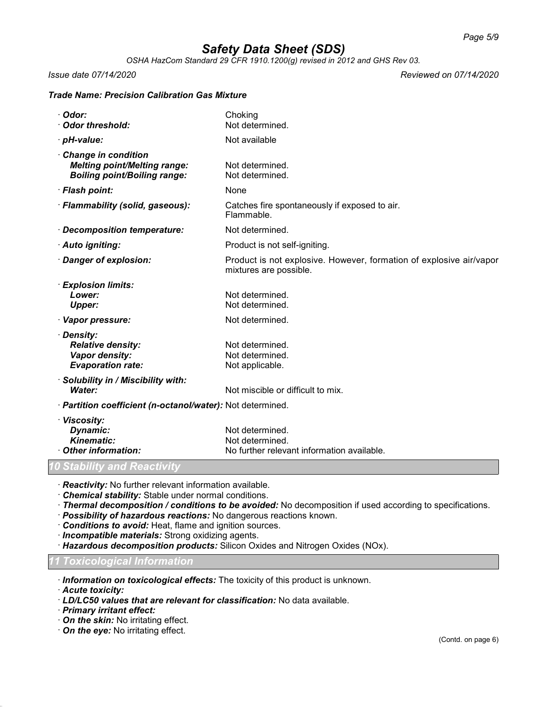*OSHA HazCom Standard 29 CFR 1910.1200(g) revised in 2012 and GHS Rev 03.*

*Issue date 07/14/2020 Reviewed on 07/14/2020*

## *Trade Name: Precision Calibration Gas Mixture*

| Odor:<br><b>Odor threshold:</b>                                                                   | Choking<br>Not determined.                                                                    |
|---------------------------------------------------------------------------------------------------|-----------------------------------------------------------------------------------------------|
| · pH-value:                                                                                       | Not available                                                                                 |
| Change in condition<br><b>Melting point/Melting range:</b><br><b>Boiling point/Boiling range:</b> | Not determined.<br>Not determined.                                                            |
| · Flash point:                                                                                    | None                                                                                          |
| · Flammability (solid, gaseous):                                                                  | Catches fire spontaneously if exposed to air.<br>Flammable.                                   |
| · Decomposition temperature:                                                                      | Not determined.                                                                               |
| · Auto igniting:                                                                                  | Product is not self-igniting.                                                                 |
| · Danger of explosion:                                                                            | Product is not explosive. However, formation of explosive air/vapor<br>mixtures are possible. |
| · Explosion limits:<br>Lower:<br><b>Upper:</b>                                                    | Not determined.<br>Not determined.                                                            |
| · Vapor pressure:                                                                                 | Not determined.                                                                               |
| · Density:<br><b>Relative density:</b><br>Vapor density:<br><b>Evaporation rate:</b>              | Not determined.<br>Not determined.<br>Not applicable.                                         |
| · Solubility in / Miscibility with:<br>Water:                                                     | Not miscible or difficult to mix.                                                             |
| · Partition coefficient (n-octanol/water): Not determined.                                        |                                                                                               |
| · Viscosity:<br>Dynamic:<br><b>Kinematic:</b><br><b>Other information:</b>                        | Not determined.<br>Not determined.<br>No further relevant information available.              |
| 10 Stability and Reactivity                                                                       |                                                                                               |

· *Reactivity:* No further relevant information available.

- · *Chemical stability:* Stable under normal conditions.
- · *Thermal decomposition / conditions to be avoided:* No decomposition if used according to specifications.
- · *Possibility of hazardous reactions:* No dangerous reactions known.
- · *Conditions to avoid:* Heat, flame and ignition sources.
- · *Incompatible materials:* Strong oxidizing agents.
- · *Hazardous decomposition products:* Silicon Oxides and Nitrogen Oxides (NOx).

#### *11 Toxicological Information*

· *Information on toxicological effects:* The toxicity of this product is unknown.

· *Acute toxicity:*

- · *LD/LC50 values that are relevant for classification:* No data available.
- · *Primary irritant effect:*
- · *On the skin:* No irritating effect.
- · *On the eye:* No irritating effect.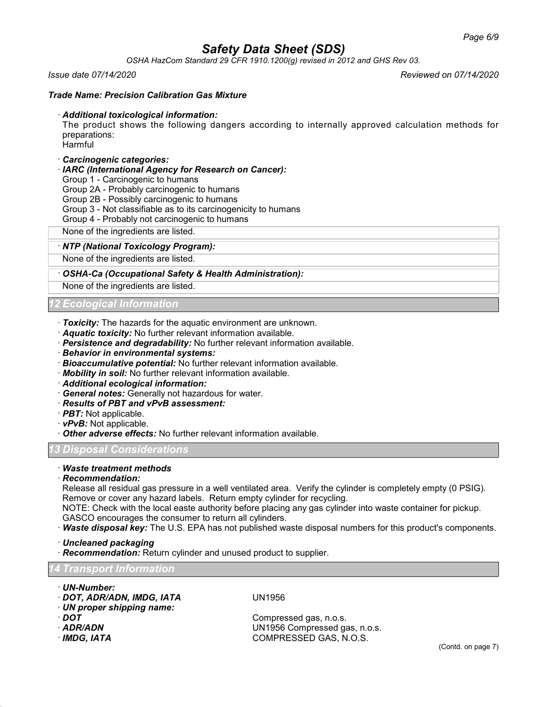*OSHA HazCom Standard 29 CFR 1910.1200(g) revised in 2012 and GHS Rev 03.*

#### *Issue date 07/14/2020 Reviewed on 07/14/2020*

#### *Trade Name: Precision Calibration Gas Mixture*

#### · *Additional toxicological information:*

The product shows the following dangers according to internally approved calculation methods for preparations: Harmful

## · *Carcinogenic categories:*

· *IARC (International Agency for Research on Cancer):*

Group 1 - Carcinogenic to humans

Group 2A - Probably carcinogenic to humans

Group 2B - Possibly carcinogenic to humans

- Group 3 Not classifiable as to its carcinogenicity to humans
- Group 4 Probably not carcinogenic to humans

None of the ingredients are listed.

#### · *NTP (National Toxicology Program):*

None of the ingredients are listed.

#### · *OSHA-Ca (Occupational Safety & Health Administration):*

None of the ingredients are listed.

### *12 Ecological Information*

- · *Toxicity:* The hazards for the aquatic environment are unknown.
- · *Aquatic toxicity:* No further relevant information available.
- · *Persistence and degradability:* No further relevant information available.
- · *Behavior in environmental systems:*
- · *Bioaccumulative potential:* No further relevant information available.
- · *Mobility in soil:* No further relevant information available.
- · *Additional ecological information:*
- · *General notes:* Generally not hazardous for water.
- · *Results of PBT and vPvB assessment:*
- · *PBT:* Not applicable.
- · *vPvB:* Not applicable.
- · *Other adverse effects:* No further relevant information available.

#### *13 Disposal Considerations*

## · *Waste treatment methods*

· *Recommendation:*

Release all residual gas pressure in a well ventilated area. Verify the cylinder is completely empty (0 PSIG). Remove or cover any hazard labels. Return empty cylinder for recycling.

NOTE: Check with the local easte authority before placing any gas cylinder into waste container for pickup. GASCO encourages the consumer to return all cylinders.

· *Waste disposal key:* The U.S. EPA has not published waste disposal numbers for this product's components.

· *Uncleaned packaging*

· *Recommendation:* Return cylinder and unused product to supplier.

## *14 Transport Information*

- · *UN-Number:* · *DOT, ADR/ADN, IMDG, IATA* UN1956
- · *UN proper shipping name:*
- 
- 
- 

**DOT** Compressed gas, n.o.s.<br>**ADR/ADN** COMPRESSED COMPRESSED COMPRESSED OF SALE COMPRESSED OF SALE COMPRESSED OF SALE COMPRESSED OF SALE COMP · *ADR/ADN* UN1956 Compressed gas, n.o.s. · *IMDG, IATA* COMPRESSED GAS, N.O.S.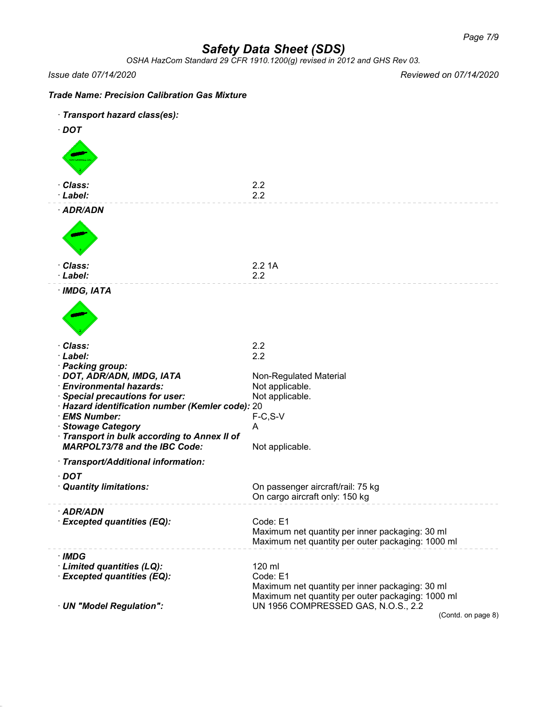*OSHA HazCom Standard 29 CFR 1910.1200(g) revised in 2012 and GHS Rev 03.*

*Issue date 07/14/2020 Reviewed on 07/14/2020*

| <b>Trade Name: Precision Calibration Gas Mixture</b>              |                                                                                                      |
|-------------------------------------------------------------------|------------------------------------------------------------------------------------------------------|
| · Transport hazard class(es):                                     |                                                                                                      |
| $\cdot$ DOT                                                       |                                                                                                      |
|                                                                   |                                                                                                      |
| · Class:<br>· Label:                                              | 2.2<br>2.2                                                                                           |
| · ADR/ADN                                                         |                                                                                                      |
|                                                                   |                                                                                                      |
| · Class:                                                          | 2.21A                                                                                                |
| · Label:                                                          | 2.2                                                                                                  |
| $·$ IMDG, IATA                                                    |                                                                                                      |
|                                                                   |                                                                                                      |
| · Class:                                                          | 2.2                                                                                                  |
| · Label:<br>· Packing group:                                      | 2.2                                                                                                  |
| · DOT, ADR/ADN, IMDG, IATA                                        | Non-Regulated Material                                                                               |
| · Environmental hazards:                                          | Not applicable.                                                                                      |
| · Special precautions for user:                                   | Not applicable.                                                                                      |
| · Hazard identification number (Kemler code): 20<br>· EMS Number: |                                                                                                      |
| · Stowage Category                                                | $F-C, S-V$<br>A                                                                                      |
| · Transport in bulk according to Annex II of                      |                                                                                                      |
| <b>MARPOL73/78 and the IBC Code:</b>                              | Not applicable.                                                                                      |
| · Transport/Additional information:                               |                                                                                                      |
| $\cdot$ DOT                                                       |                                                                                                      |
| · Quantity limitations:                                           | On passenger aircraft/rail: 75 kg<br>On cargo aircraft only: 150 kg                                  |
| · ADR/ADN                                                         |                                                                                                      |
| · Excepted quantities (EQ):                                       | Code: E1                                                                                             |
|                                                                   | Maximum net quantity per inner packaging: 30 ml<br>Maximum net quantity per outer packaging: 1000 ml |
| $\cdot$ IMDG                                                      |                                                                                                      |
| · Limited quantities (LQ):                                        | 120 ml                                                                                               |
| · Excepted quantities (EQ):                                       | Code: E1                                                                                             |
|                                                                   | Maximum net quantity per inner packaging: 30 ml<br>Maximum net quantity per outer packaging: 1000 ml |
| · UN "Model Regulation":                                          | UN 1956 COMPRESSED GAS, N.O.S., 2.2                                                                  |
|                                                                   | (Contd. on page 8)                                                                                   |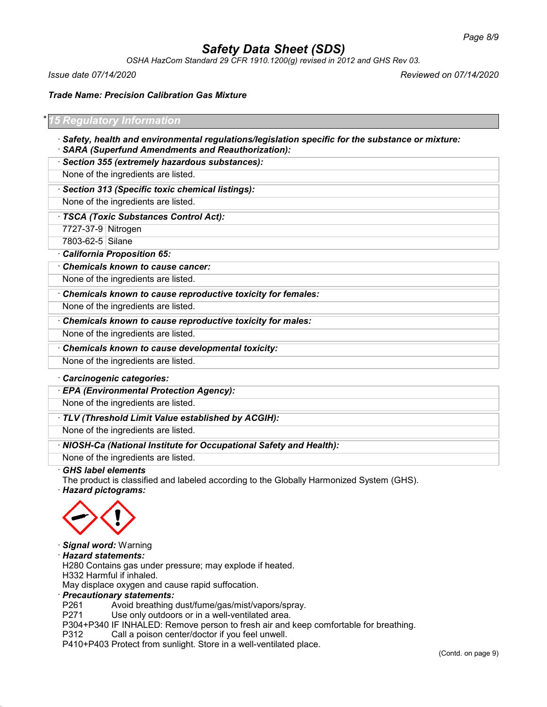*OSHA HazCom Standard 29 CFR 1910.1200(g) revised in 2012 and GHS Rev 03.*

*Issue date 07/14/2020 Reviewed on 07/14/2020*

*Trade Name: Precision Calibration Gas Mixture*

| * 15 Regulatory Information                                                                     |
|-------------------------------------------------------------------------------------------------|
| Safety, health and environmental regulations/legislation specific for the substance or mixture: |

- · *SARA (Superfund Amendments and Reauthorization):*
- · *Section 355 (extremely hazardous substances):*

None of the ingredients are listed.

### · *Section 313 (Specific toxic chemical listings):*

None of the ingredients are listed.

#### · *TSCA (Toxic Substances Control Act):*

7727-37-9 Nitrogen

7803-62-5 Silane

#### · *California Proposition 65:*

· *Chemicals known to cause cancer:*

None of the ingredients are listed.

## · *Chemicals known to cause reproductive toxicity for females:*

None of the ingredients are listed.

· *Chemicals known to cause reproductive toxicity for males:*

None of the ingredients are listed.

· *Chemicals known to cause developmental toxicity:*

None of the ingredients are listed.

#### · *Carcinogenic categories:*

· *EPA (Environmental Protection Agency):*

None of the ingredients are listed.

· *TLV (Threshold Limit Value established by ACGIH):*

None of the ingredients are listed.

#### · *NIOSH-Ca (National Institute for Occupational Safety and Health):*

None of the ingredients are listed.

### · *GHS label elements*

The product is classified and labeled according to the Globally Harmonized System (GHS).

· *Hazard pictograms:*



- · *Signal word:* Warning
- · *Hazard statements:*

H280 Contains gas under pressure; may explode if heated.

H332 Harmful if inhaled.

May displace oxygen and cause rapid suffocation.

#### · *Precautionary statements:*

P261 Avoid breathing dust/fume/gas/mist/vapors/spray.

P271 Use only outdoors or in a well-ventilated area.

P304+P340 IF INHALED: Remove person to fresh air and keep comfortable for breathing.

P312 Call a poison center/doctor if you feel unwell.

P410+P403 Protect from sunlight. Store in a well-ventilated place.